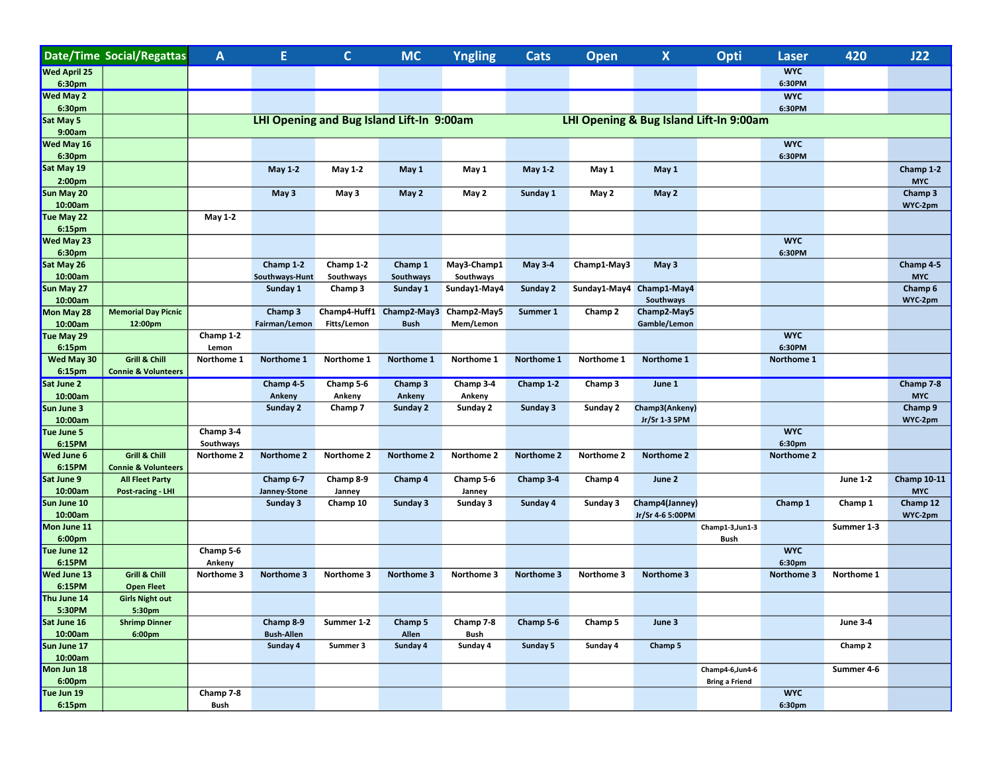|                       | Date/Time Social/Regattas                                  | A                                         | E.                | $\mathbf{C}$        | <b>MC</b>                | <b>Yngling</b> | <b>Cats</b>     | Open                                    | X                        | Opti                                     | Laser                | 420             | J22                |  |  |
|-----------------------|------------------------------------------------------------|-------------------------------------------|-------------------|---------------------|--------------------------|----------------|-----------------|-----------------------------------------|--------------------------|------------------------------------------|----------------------|-----------------|--------------------|--|--|
| Wed April 25          |                                                            |                                           |                   |                     |                          |                |                 |                                         |                          |                                          | <b>WYC</b>           |                 |                    |  |  |
| 6:30pm                |                                                            |                                           |                   |                     |                          |                |                 |                                         |                          |                                          | 6:30PM               |                 |                    |  |  |
| Wed May 2             |                                                            |                                           |                   |                     |                          |                |                 |                                         |                          |                                          | <b>WYC</b>           |                 |                    |  |  |
| 6:30pm                |                                                            |                                           |                   |                     |                          |                |                 |                                         |                          |                                          | 6:30PM               |                 |                    |  |  |
| Sat May 5<br>9:00am   |                                                            | LHI Opening and Bug Island Lift-In 9:00am |                   |                     |                          |                |                 | LHI Opening & Bug Island Lift-In 9:00am |                          |                                          |                      |                 |                    |  |  |
| Wed May 16            |                                                            |                                           |                   |                     |                          |                |                 |                                         |                          |                                          | <b>WYC</b>           |                 |                    |  |  |
| 6:30pm                |                                                            |                                           |                   |                     |                          |                |                 |                                         |                          |                                          | 6:30PM               |                 |                    |  |  |
| Sat May 19            |                                                            |                                           | <b>May 1-2</b>    | May 1-2             | May 1                    | May 1          | <b>May 1-2</b>  | May 1                                   | May 1                    |                                          |                      |                 | Champ 1-2          |  |  |
| 2:00pm                |                                                            |                                           |                   |                     |                          |                |                 |                                         |                          |                                          |                      |                 | <b>MYC</b>         |  |  |
| Sun May 20            |                                                            |                                           | May 3             | May 3               | May 2                    | May 2          | Sunday 1        | May 2                                   | May 2                    |                                          |                      |                 | Champ 3            |  |  |
| 10:00am               |                                                            |                                           |                   |                     |                          |                |                 |                                         |                          |                                          |                      |                 | WYC-2pm            |  |  |
| Tue May 22            |                                                            | May 1-2                                   |                   |                     |                          |                |                 |                                         |                          |                                          |                      |                 |                    |  |  |
| 6:15pm<br>Wed May 23  |                                                            |                                           |                   |                     |                          |                |                 |                                         |                          |                                          | <b>WYC</b>           |                 |                    |  |  |
| 6:30pm                |                                                            |                                           |                   |                     |                          |                |                 |                                         |                          |                                          | 6:30PM               |                 |                    |  |  |
| Sat May 26            |                                                            |                                           | Champ 1-2         | Champ 1-2           | Champ 1                  | May3-Champ1    | <b>May 3-4</b>  | Champ1-May3                             | May 3                    |                                          |                      |                 | Champ 4-5          |  |  |
| 10:00am               |                                                            |                                           | Southways-Hunt    | Southways           | Southways                | Southways      |                 |                                         |                          |                                          |                      |                 | <b>MYC</b>         |  |  |
| Sun May 27            |                                                            |                                           | Sunday 1          | Champ 3             | Sunday 1                 | Sunday1-May4   | <b>Sunday 2</b> |                                         | Sunday1-May4 Champ1-May4 |                                          |                      |                 | Champ 6            |  |  |
| 10:00am               |                                                            |                                           |                   |                     |                          |                |                 |                                         | Southways                |                                          |                      |                 | WYC-2pm            |  |  |
| Mon May 28            | <b>Memorial Day Picnic</b>                                 |                                           | Champ 3           |                     | Champ4-Huff1 Champ2-May3 | Champ2-May5    | Summer 1        | Champ 2                                 | Champ2-May5              |                                          |                      |                 |                    |  |  |
| 10:00am               | 12:00pm                                                    |                                           | Fairman/Lemon     | Fitts/Lemon         | <b>Bush</b>              | Mem/Lemon      |                 |                                         | Gamble/Lemon             |                                          |                      |                 |                    |  |  |
| Tue May 29            |                                                            | Champ 1-2                                 |                   |                     |                          |                |                 |                                         |                          |                                          | <b>WYC</b>           |                 |                    |  |  |
| 6:15pm                |                                                            | Lemon                                     |                   |                     |                          |                |                 |                                         |                          |                                          | 6:30PM               |                 |                    |  |  |
| Wed May 30<br>6:15pm  | <b>Grill &amp; Chill</b><br><b>Connie &amp; Volunteers</b> | Northome 1                                | Northome 1        | Northome 1          | Northome 1               | Northome 1     | Northome 1      | Northome 1                              | Northome 1               |                                          | Northome 1           |                 |                    |  |  |
| Sat June 2            |                                                            |                                           | Champ 4-5         | Champ 5-6           | Champ 3                  | Champ 3-4      | Champ 1-2       | Champ 3                                 | June 1                   |                                          |                      |                 | Champ 7-8          |  |  |
| 10:00am               |                                                            |                                           | Ankeny            | Ankeny              | Ankeny                   | Ankeny         |                 |                                         |                          |                                          |                      |                 | <b>MYC</b>         |  |  |
| Sun June 3            |                                                            |                                           | Sunday 2          | Champ 7             | Sunday 2                 | Sunday 2       | Sunday 3        | Sunday 2                                | Champ3(Ankeny)           |                                          |                      |                 | Champ 9            |  |  |
| 10:00am               |                                                            |                                           |                   |                     |                          |                |                 |                                         | Jr/Sr 1-3 5PM            |                                          |                      |                 | WYC-2pm            |  |  |
| Tue June 5            |                                                            | Champ 3-4                                 |                   |                     |                          |                |                 |                                         |                          |                                          | <b>WYC</b>           |                 |                    |  |  |
| 6:15PM                |                                                            | Southways                                 |                   |                     |                          |                |                 |                                         |                          |                                          | 6:30pm               |                 |                    |  |  |
| Wed June 6            | Grill & Chill                                              | Northome 2                                | Northome 2        | Northome 2          | Northome 2               | Northome 2     | Northome 2      | Northome 2                              | Northome 2               |                                          | Northome 2           |                 |                    |  |  |
| 6:15PM<br>Sat June 9  | <b>Connie &amp; Volunteers</b><br><b>All Fleet Party</b>   |                                           | Champ 6-7         |                     |                          | Champ 5-6      |                 |                                         | June 2                   |                                          |                      | <b>June 1-2</b> | <b>Champ 10-11</b> |  |  |
| 10:00am               | Post-racing - LHI                                          |                                           | Janney-Stone      | Champ 8-9<br>Janney | Champ 4                  | Janney         | Champ 3-4       | Champ 4                                 |                          |                                          |                      |                 | <b>MYC</b>         |  |  |
| Sun June 10           |                                                            |                                           | Sunday 3          | Champ 10            | Sunday 3                 | Sunday 3       | Sunday 4        | Sunday 3                                | Champ4(Janney)           |                                          | Champ 1              | Champ 1         | Champ 12           |  |  |
| 10:00am               |                                                            |                                           |                   |                     |                          |                |                 |                                         | Jr/Sr 4-6 5:00PM         |                                          |                      |                 | WYC-2pm            |  |  |
| Mon June 11           |                                                            |                                           |                   |                     |                          |                |                 |                                         |                          | Champ1-3, Jun1-3                         |                      | Summer 1-3      |                    |  |  |
| 6:00pm                |                                                            | Champ 5-6                                 |                   |                     |                          |                |                 |                                         |                          | Bush                                     |                      |                 |                    |  |  |
| Tue June 12<br>6:15PM |                                                            | Ankeny                                    |                   |                     |                          |                |                 |                                         |                          |                                          | <b>WYC</b><br>6:30pm |                 |                    |  |  |
| Wed June 13           | Grill & Chill                                              | Northome 3                                | Northome 3        | Northome 3          | Northome 3               | Northome 3     | Northome 3      | Northome 3                              | Northome 3               |                                          | Northome 3           | Northome 1      |                    |  |  |
| 6:15PM                | <b>Open Fleet</b>                                          |                                           |                   |                     |                          |                |                 |                                         |                          |                                          |                      |                 |                    |  |  |
| Thu June 14           | <b>Girls Night out</b>                                     |                                           |                   |                     |                          |                |                 |                                         |                          |                                          |                      |                 |                    |  |  |
| 5:30PM                | 5:30pm                                                     |                                           |                   |                     |                          |                |                 |                                         |                          |                                          |                      |                 |                    |  |  |
| Sat June 16           | <b>Shrimp Dinner</b>                                       |                                           | Champ 8-9         | Summer 1-2          | Champ 5                  | Champ 7-8      | Champ 5-6       | Champ 5                                 | June 3                   |                                          |                      | <b>June 3-4</b> |                    |  |  |
| 10:00am               | 6:00 <sub>pm</sub>                                         |                                           | <b>Bush-Allen</b> |                     | Allen                    | Bush           |                 |                                         |                          |                                          |                      |                 |                    |  |  |
| Sun June 17           |                                                            |                                           | Sunday 4          | Summer 3            | Sunday 4                 | Sunday 4       | Sunday 5        | Sunday 4                                | Champ 5                  |                                          |                      | Champ 2         |                    |  |  |
| 10:00am               |                                                            |                                           |                   |                     |                          |                |                 |                                         |                          |                                          |                      |                 |                    |  |  |
| Mon Jun 18<br>6:00pm  |                                                            |                                           |                   |                     |                          |                |                 |                                         |                          | Champ4-6,Jun4-6<br><b>Bring a Friend</b> |                      | Summer 4-6      |                    |  |  |
| Tue Jun 19            |                                                            | Champ 7-8                                 |                   |                     |                          |                |                 |                                         |                          |                                          | <b>WYC</b>           |                 |                    |  |  |
| 6:15pm                |                                                            | Bush                                      |                   |                     |                          |                |                 |                                         |                          |                                          | 6:30pm               |                 |                    |  |  |
|                       |                                                            |                                           |                   |                     |                          |                |                 |                                         |                          |                                          |                      |                 |                    |  |  |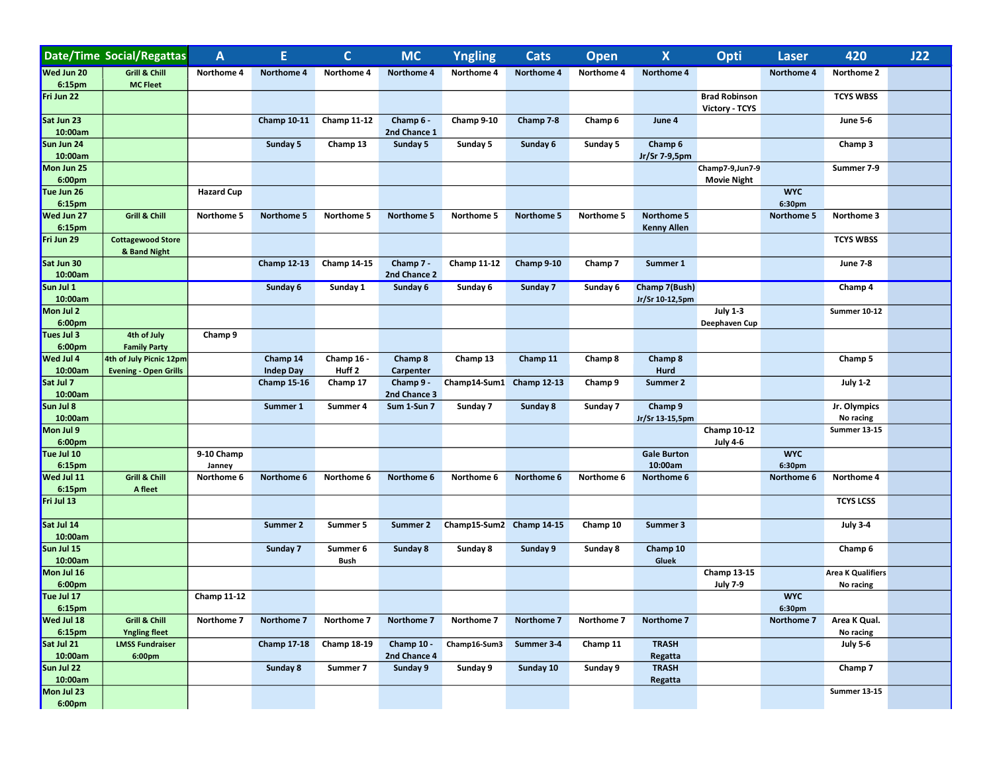|                       | <b>Date/Time Social/Regattas</b>                        | $\mathbf{A}$         | E.                           | $\mathbf C$                     | <b>MC</b>                  | <b>Yngling</b>           | <b>Cats</b>        | <b>Open</b> | $\pmb{\mathsf{X}}$               | Opti                                   | <b>Laser</b>         | 420                                   | J22 |
|-----------------------|---------------------------------------------------------|----------------------|------------------------------|---------------------------------|----------------------------|--------------------------|--------------------|-------------|----------------------------------|----------------------------------------|----------------------|---------------------------------------|-----|
| Wed Jun 20            | <b>Grill &amp; Chill</b>                                | Northome 4           | Northome 4                   | Northome 4                      | <b>Northome 4</b>          | Northome 4               | Northome 4         | Northome 4  | Northome 4                       |                                        | Northome 4           | Northome 2                            |     |
| 6:15pm<br>Fri Jun 22  | <b>MC Fleet</b>                                         |                      |                              |                                 |                            |                          |                    |             |                                  | <b>Brad Robinson</b>                   |                      | <b>TCYS WBSS</b>                      |     |
| Sat Jun 23<br>10:00am |                                                         |                      | <b>Champ 10-11</b>           | <b>Champ 11-12</b>              | Champ 6 -<br>2nd Chance 1  | Champ 9-10               | Champ 7-8          | Champ 6     | June 4                           | Victory - TCYS                         |                      | <b>June 5-6</b>                       |     |
| Sun Jun 24<br>10:00am |                                                         |                      | Sunday 5                     | Champ 13                        | Sunday 5                   | Sunday 5                 | Sunday 6           | Sunday 5    | Champ 6                          |                                        |                      | Champ 3                               |     |
| Mon Jun 25<br>6:00pm  |                                                         |                      |                              |                                 |                            |                          |                    |             | Jr/Sr 7-9,5pm                    | Champ7-9, Jun7-9<br><b>Movie Night</b> |                      | Summer 7-9                            |     |
| Tue Jun 26<br>6:15pm  |                                                         | <b>Hazard Cup</b>    |                              |                                 |                            |                          |                    |             |                                  |                                        | <b>WYC</b><br>6:30pm |                                       |     |
| Wed Jun 27<br>6:15pm  | <b>Grill &amp; Chill</b>                                | Northome 5           | Northome 5                   | Northome 5                      | Northome 5                 | Northome 5               | Northome 5         | Northome 5  | Northome 5<br><b>Kenny Allen</b> |                                        | Northome 5           | Northome 3                            |     |
| Fri Jun 29            | <b>Cottagewood Store</b><br>& Band Night                |                      |                              |                                 |                            |                          |                    |             |                                  |                                        |                      | <b>TCYS WBSS</b>                      |     |
| Sat Jun 30<br>10:00am |                                                         |                      | <b>Champ 12-13</b>           | <b>Champ 14-15</b>              | Champ 7 -<br>2nd Chance 2  | <b>Champ 11-12</b>       | Champ 9-10         | Champ 7     | Summer 1                         |                                        |                      | <b>June 7-8</b>                       |     |
| Sun Jul 1<br>10:00am  |                                                         |                      | Sunday 6                     | Sunday 1                        | Sunday 6                   | Sunday 6                 | Sunday 7           | Sunday 6    | Champ 7(Bush)<br>Jr/Sr 10-12,5pm |                                        |                      | Champ 4                               |     |
| Mon Jul 2<br>6:00pm   |                                                         |                      |                              |                                 |                            |                          |                    |             |                                  | <b>July 1-3</b><br>Deephaven Cup       |                      | <b>Summer 10-12</b>                   |     |
| Tues Jul 3<br>6:00pm  | 4th of July<br><b>Family Party</b>                      | Champ 9              |                              |                                 |                            |                          |                    |             |                                  |                                        |                      |                                       |     |
| Wed Jul 4<br>10:00am  | 4th of July Picnic 12pm<br><b>Evening - Open Grills</b> |                      | Champ 14<br><b>Indep Day</b> | Champ 16 -<br>Huff <sub>2</sub> | Champ 8<br>Carpenter       | Champ 13                 | Champ 11           | Champ 8     | Champ 8<br>Hurd                  |                                        |                      | Champ 5                               |     |
| Sat Jul 7<br>10:00am  |                                                         |                      | <b>Champ 15-16</b>           | Champ 17                        | Champ 9 -<br>2nd Chance 3  | Champ14-Sum1             | <b>Champ 12-13</b> | Champ 9     | Summer 2                         |                                        |                      | <b>July 1-2</b>                       |     |
| Sun Jul 8<br>10:00am  |                                                         |                      | Summer 1                     | Summer 4                        | Sum 1-Sun 7                | Sunday 7                 | Sunday 8           | Sunday 7    | Champ 9<br>Jr/Sr 13-15,5pm       |                                        |                      | Jr. Olympics<br>No racing             |     |
| Mon Jul 9<br>6:00pm   |                                                         |                      |                              |                                 |                            |                          |                    |             |                                  | <b>Champ 10-12</b><br><b>July 4-6</b>  |                      | <b>Summer 13-15</b>                   |     |
| Tue Jul 10<br>6:15pm  |                                                         | 9-10 Champ<br>Janney |                              |                                 |                            |                          |                    |             | <b>Gale Burton</b><br>10:00am    |                                        | <b>WYC</b><br>6:30pm |                                       |     |
| Wed Jul 11<br>6:15pm  | Grill & Chill<br>A fleet                                | Northome 6           | Northome 6                   | Northome 6                      | Northome 6                 | Northome 6               | Northome 6         | Northome 6  | Northome 6                       |                                        | Northome 6           | Northome 4                            |     |
| Fri Jul 13            |                                                         |                      |                              |                                 |                            |                          |                    |             |                                  |                                        |                      | <b>TCYS LCSS</b>                      |     |
| Sat Jul 14<br>10:00am |                                                         |                      | Summer 2                     | Summer 5                        | Summer 2                   | Champ15-Sum2 Champ 14-15 |                    | Champ 10    | Summer 3                         |                                        |                      | <b>July 3-4</b>                       |     |
| Sun Jul 15<br>10:00am |                                                         |                      | Sunday 7                     | Summer 6<br><b>Bush</b>         | Sunday 8                   | Sunday 8                 | Sunday 9           | Sunday 8    | Champ 10<br>Gluek                |                                        |                      | Champ 6                               |     |
| Mon Jul 16<br>6:00pm  |                                                         |                      |                              |                                 |                            |                          |                    |             |                                  | <b>Champ 13-15</b><br><b>July 7-9</b>  |                      | <b>Area K Qualifiers</b><br>No racing |     |
| Tue Jul 17<br>6:15pm  |                                                         | <b>Champ 11-12</b>   |                              |                                 |                            |                          |                    |             |                                  |                                        | <b>WYC</b><br>6:30pm |                                       |     |
| Wed Jul 18<br>6:15pm  | Grill & Chill<br><b>Yngling fleet</b>                   | Northome 7           | Northome 7                   | Northome 7                      | Northome 7                 | Northome 7               | Northome 7         | Northome 7  | Northome 7                       |                                        | Northome 7           | Area K Qual.<br>No racing             |     |
| Sat Jul 21<br>10:00am | <b>LMSS Fundraiser</b><br>6:00pm                        |                      | <b>Champ 17-18</b>           | Champ 18-19                     | Champ 10 -<br>2nd Chance 4 | Champ16-Sum3             | Summer 3-4         | Champ 11    | <b>TRASH</b><br>Regatta          |                                        |                      | <b>July 5-6</b>                       |     |
| Sun Jul 22<br>10:00am |                                                         |                      | Sunday 8                     | Summer 7                        | Sunday 9                   | Sunday 9                 | Sunday 10          | Sunday 9    | <b>TRASH</b><br>Regatta          |                                        |                      | Champ 7                               |     |
| Mon Jul 23<br>6:00pm  |                                                         |                      |                              |                                 |                            |                          |                    |             |                                  |                                        |                      | <b>Summer 13-15</b>                   |     |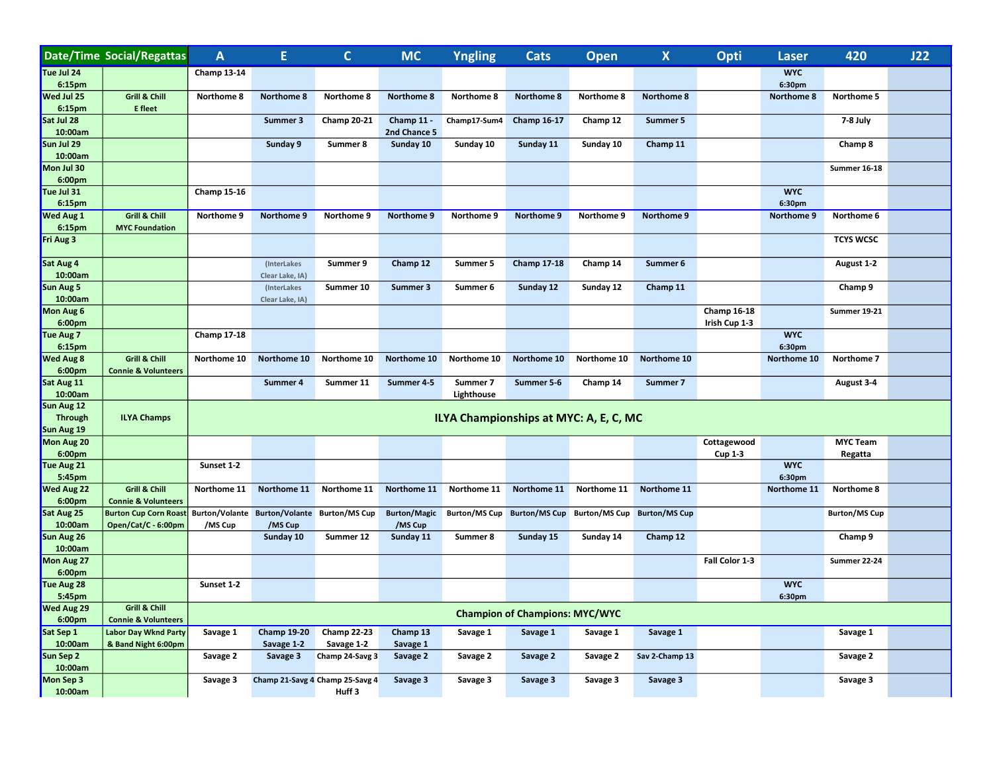|                              | <b>Date/Time Social/Regattas</b>                           | $\mathsf{A}$       | E                                        | $\mathbf C$                     | <b>MC</b>                      | Yngling                                | <b>Cats</b>                           | Open                        | $\pmb{\mathsf{X}}$   | Opti               | <b>Laser</b>         | 420                  | J22 |
|------------------------------|------------------------------------------------------------|--------------------|------------------------------------------|---------------------------------|--------------------------------|----------------------------------------|---------------------------------------|-----------------------------|----------------------|--------------------|----------------------|----------------------|-----|
| Tue Jul 24<br>6:15pm         |                                                            | <b>Champ 13-14</b> |                                          |                                 |                                |                                        |                                       |                             |                      |                    | <b>WYC</b><br>6:30pm |                      |     |
| Wed Jul 25                   | <b>Grill &amp; Chill</b>                                   | Northome 8         | <b>Northome 8</b>                        | Northome 8                      | Northome 8                     | Northome 8                             | Northome 8                            | Northome 8                  | Northome 8           |                    | Northome 8           | Northome 5           |     |
| 6:15pm                       | <b>E</b> fleet                                             |                    |                                          |                                 |                                |                                        |                                       |                             |                      |                    |                      |                      |     |
| Sat Jul 28<br>10:00am        |                                                            |                    | Summer 3                                 | <b>Champ 20-21</b>              | Champ 11 -<br>2nd Chance 5     | Champ17-Sum4                           | <b>Champ 16-17</b>                    | Champ 12                    | Summer 5             |                    |                      | 7-8 July             |     |
| Sun Jul 29                   |                                                            |                    | Sunday 9                                 | Summer 8                        | Sunday 10                      | Sunday 10                              | Sunday 11                             | Sunday 10                   | Champ 11             |                    |                      | Champ 8              |     |
| 10:00am<br>Mon Jul 30        |                                                            |                    |                                          |                                 |                                |                                        |                                       |                             |                      |                    |                      | <b>Summer 16-18</b>  |     |
| 6:00pm                       |                                                            |                    |                                          |                                 |                                |                                        |                                       |                             |                      |                    |                      |                      |     |
| Tue Jul 31<br>6:15pm         |                                                            | <b>Champ 15-16</b> |                                          |                                 |                                |                                        |                                       |                             |                      |                    | <b>WYC</b><br>6:30pm |                      |     |
| Wed Aug 1                    | Grill & Chill                                              | Northome 9         | Northome 9                               | Northome 9                      | Northome 9                     | Northome 9                             | Northome 9                            | Northome 9                  | Northome 9           |                    | Northome 9           | Northome 6           |     |
| 6:15pm                       | <b>MYC Foundation</b>                                      |                    |                                          |                                 |                                |                                        |                                       |                             |                      |                    |                      |                      |     |
| Fri Aug 3                    |                                                            |                    |                                          |                                 |                                |                                        |                                       |                             |                      |                    |                      | <b>TCYS WCSC</b>     |     |
| Sat Aug 4                    |                                                            |                    | (InterLakes                              | Summer 9                        | Champ 12                       | Summer 5                               | <b>Champ 17-18</b>                    | Champ 14                    | Summer 6             |                    |                      | August 1-2           |     |
| 10:00am                      |                                                            |                    | Clear Lake, IA)                          |                                 |                                |                                        |                                       |                             |                      |                    |                      |                      |     |
| Sun Aug 5<br>10:00am         |                                                            |                    | (InterLakes                              | Summer 10                       | Summer 3                       | Summer 6                               | Sunday 12                             | Sunday 12                   | Champ 11             |                    |                      | Champ 9              |     |
| Mon Aug 6                    |                                                            |                    | Clear Lake, IA)                          |                                 |                                |                                        |                                       |                             |                      | <b>Champ 16-18</b> |                      | Summer 19-21         |     |
| 6:00pm                       |                                                            |                    |                                          |                                 |                                |                                        |                                       |                             |                      | Irish Cup 1-3      |                      |                      |     |
| Tue Aug 7<br>6:15pm          |                                                            | <b>Champ 17-18</b> |                                          |                                 |                                |                                        |                                       |                             |                      |                    | <b>WYC</b><br>6:30pm |                      |     |
| Wed Aug 8                    | <b>Grill &amp; Chill</b>                                   | Northome 10        | Northome 10                              | Northome 10                     | Northome 10                    | Northome 10                            | Northome 10                           | Northome 10                 | Northome 10          |                    | Northome 10          | Northome 7           |     |
| 6:00pm                       | <b>Connie &amp; Volunteers</b>                             |                    |                                          |                                 |                                |                                        |                                       |                             |                      |                    |                      |                      |     |
| Sat Aug 11<br>10:00am        |                                                            |                    | Summer 4                                 | Summer 11                       | Summer 4-5                     | Summer 7<br>Lighthouse                 | Summer 5-6                            | Champ 14                    | Summer 7             |                    |                      | August 3-4           |     |
| Sun Aug 12                   |                                                            |                    |                                          |                                 |                                |                                        |                                       |                             |                      |                    |                      |                      |     |
| <b>Through</b><br>Sun Aug 19 | <b>ILYA Champs</b>                                         |                    |                                          |                                 |                                | ILYA Championships at MYC: A, E, C, MC |                                       |                             |                      |                    |                      |                      |     |
| Mon Aug 20                   |                                                            |                    |                                          |                                 |                                |                                        |                                       |                             |                      | Cottagewood        |                      | <b>MYC Team</b>      |     |
| 6:00pm                       |                                                            |                    |                                          |                                 |                                |                                        |                                       |                             |                      | <b>Cup 1-3</b>     |                      | Regatta              |     |
| Tue Aug 21<br>5:45pm         |                                                            | Sunset 1-2         |                                          |                                 |                                |                                        |                                       |                             |                      |                    | <b>WYC</b><br>6:30pm |                      |     |
| Wed Aug 22                   | Grill & Chill                                              | Northome 11        | Northome 11                              | Northome 11                     | Northome 11                    | Northome 11                            | Northome 11                           | Northome 11                 | Northome 11          |                    | Northome 11          | Northome 8           |     |
| 6:00pm                       | <b>Connie &amp; Volunteers</b>                             |                    |                                          |                                 |                                |                                        |                                       |                             |                      |                    |                      |                      |     |
| Sat Aug 25<br>10:00am        | <b>Burton Cup Corn Roast</b><br>Open/Cat/C - 6:00pm        | /MS Cup            | Burton/Volante Burton/Volante<br>/MS Cup | <b>Burton/MS Cup</b>            | <b>Burton/Magic</b><br>/MS Cup | <b>Burton/MS Cup</b>                   |                                       | Burton/MS Cup Burton/MS Cup | <b>Burton/MS Cup</b> |                    |                      | <b>Burton/MS Cup</b> |     |
| Sun Aug 26                   |                                                            |                    | Sunday 10                                | Summer 12                       | Sunday 11                      | Summer 8                               | Sunday 15                             | Sunday 14                   | Champ 12             |                    |                      | Champ 9              |     |
| 10:00am                      |                                                            |                    |                                          |                                 |                                |                                        |                                       |                             |                      |                    |                      |                      |     |
| Mon Aug 27                   |                                                            |                    |                                          |                                 |                                |                                        |                                       |                             |                      | Fall Color 1-3     |                      | Summer 22-24         |     |
| 6:00pm                       |                                                            |                    |                                          |                                 |                                |                                        |                                       |                             |                      |                    |                      |                      |     |
| Tue Aug 28<br>5:45pm         |                                                            | Sunset 1-2         |                                          |                                 |                                |                                        |                                       |                             |                      |                    | <b>WYC</b><br>6:30pm |                      |     |
| Wed Aug 29<br>6:00pm         | <b>Grill &amp; Chill</b><br><b>Connie &amp; Volunteers</b> |                    |                                          |                                 |                                |                                        | <b>Champion of Champions: MYC/WYC</b> |                             |                      |                    |                      |                      |     |
| Sat Sep 1                    | <b>Labor Day Wknd Party</b>                                | Savage 1           | <b>Champ 19-20</b>                       | <b>Champ 22-23</b>              | Champ 13                       | Savage 1                               | Savage 1                              | Savage 1                    | Savage 1             |                    |                      | Savage 1             |     |
| 10:00am                      | & Band Night 6:00pm                                        |                    | Savage 1-2                               | Savage 1-2                      | Savage 1                       |                                        |                                       |                             |                      |                    |                      |                      |     |
| Sun Sep 2<br>10:00am         |                                                            | Savage 2           | Savage 3                                 | Champ 24-Savg 3                 | Savage 2                       | Savage 2                               | Savage 2                              | Savage 2                    | Sav 2-Champ 13       |                    |                      | Savage 2             |     |
| Mon Sep 3                    |                                                            | Savage 3           |                                          | Champ 21-Savg 4 Champ 25-Savg 4 | Savage 3                       | Savage 3                               | Savage 3                              | Savage 3                    | Savage 3             |                    |                      | Savage 3             |     |
| 10:00am                      |                                                            |                    |                                          | Huff <sub>3</sub>               |                                |                                        |                                       |                             |                      |                    |                      |                      |     |